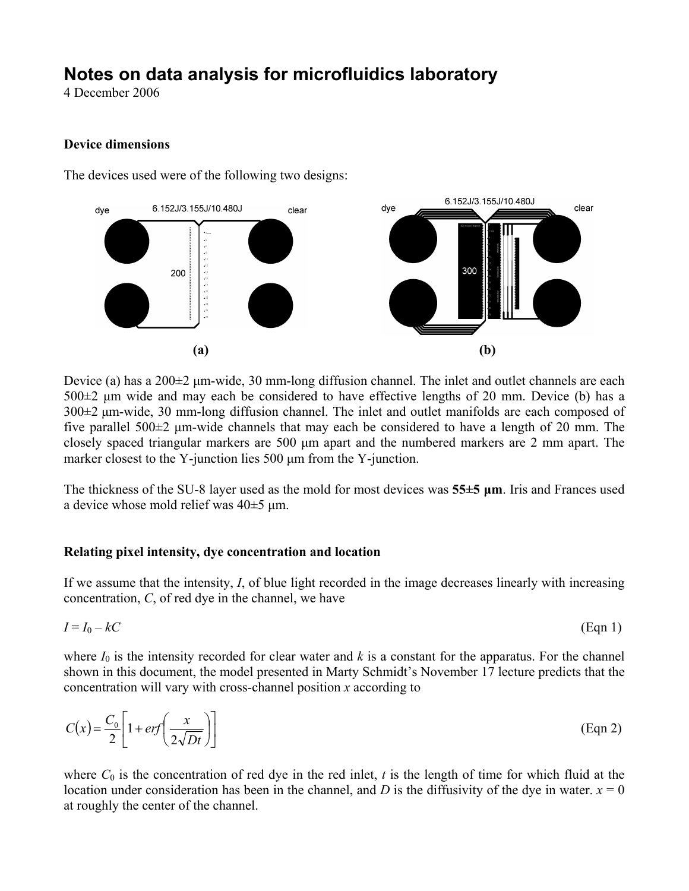## **Notes on data analysis for microfluidics laboratory**

4 December 2006

## **Device dimensions**

The devices used were of the following two designs:



Device (a) has a 200±2 μm-wide, 30 mm-long diffusion channel. The inlet and outlet channels are each 500±2 μm wide and may each be considered to have effective lengths of 20 mm. Device (b) has a 300±2 μm-wide, 30 mm-long diffusion channel. The inlet and outlet manifolds are each composed of five parallel 500±2 μm-wide channels that may each be considered to have a length of 20 mm. The closely spaced triangular markers are 500 μm apart and the numbered markers are 2 mm apart. The marker closest to the Y-junction lies 500 μm from the Y-junction.

The thickness of the SU-8 layer used as the mold for most devices was **55±5 μm**. Iris and Frances used a device whose mold relief was 40±5 μm.

## **Relating pixel intensity, dye concentration and location**

If we assume that the intensity, *I*, of blue light recorded in the image decreases linearly with increasing concentration, *C*, of red dye in the channel, we have

$$
I = I_0 - kC \tag{Eqn 1}
$$

where  $I_0$  is the intensity recorded for clear water and  $k$  is a constant for the apparatus. For the channel shown in this document, the model presented in Marty Schmidt's November 17 lecture predicts that the concentration will vary with cross-channel position *x* according to

$$
C(x) = \frac{C_0}{2} \left[ 1 + erf\left(\frac{x}{2\sqrt{Dt}}\right) \right]
$$
 (Eqn 2)

where  $C_0$  is the concentration of red dye in the red inlet,  $t$  is the length of time for which fluid at the location under consideration has been in the channel, and *D* is the diffusivity of the dye in water.  $x = 0$ at roughly the center of the channel.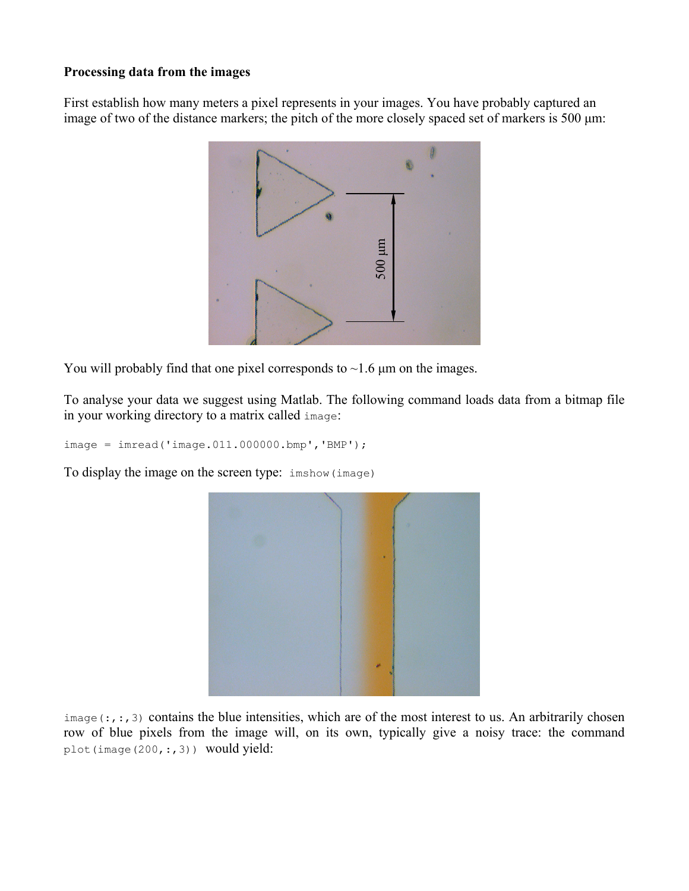## **Processing data from the images**

First establish how many meters a pixel represents in your images. You have probably captured an image of two of the distance markers; the pitch of the more closely spaced set of markers is 500 μm:



You will probably find that one pixel corresponds to  $\sim$ 1.6  $\mu$ m on the images.

To analyse your data we suggest using Matlab. The following command loads data from a bitmap file in your working directory to a matrix called image:

image = imread('image.011.000000.bmp','BMP');

To display the image on the screen type: imshow(image)



 $image(:,:,3)$  contains the blue intensities, which are of the most interest to us. An arbitrarily chosen row of blue pixels from the image will, on its own, typically give a noisy trace: the command plot(image(200,:,3)) would yield: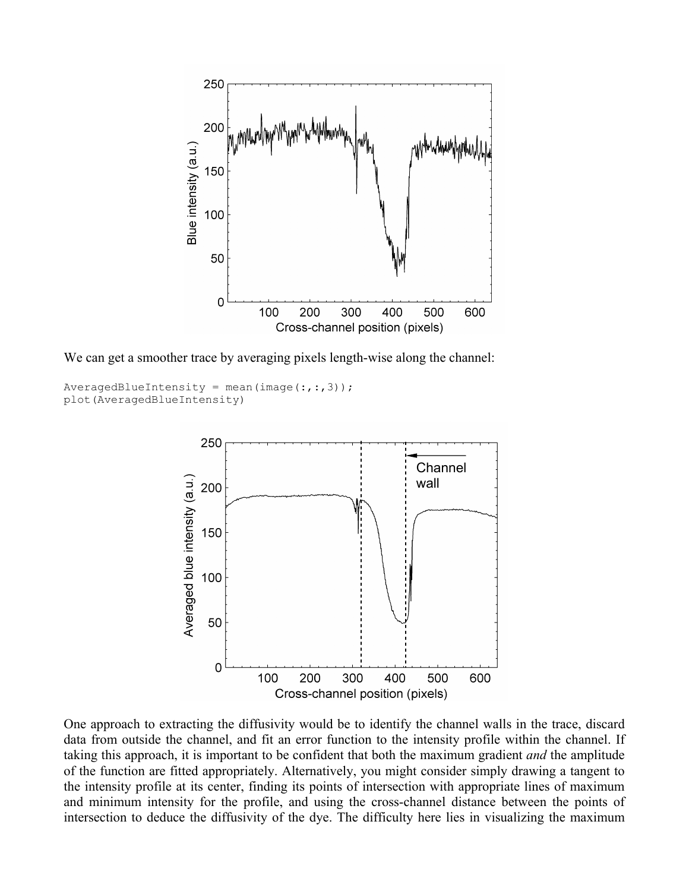

We can get a smoother trace by averaging pixels length-wise along the channel:

```
AverageBlueIntensity = mean(image(:, :, 3));plot(AveragedBlueIntensity)
```


One approach to extracting the diffusivity would be to identify the channel walls in the trace, discard data from outside the channel, and fit an error function to the intensity profile within the channel. If taking this approach, it is important to be confident that both the maximum gradient *and* the amplitude of the function are fitted appropriately. Alternatively, you might consider simply drawing a tangent to the intensity profile at its center, finding its points of intersection with appropriate lines of maximum and minimum intensity for the profile, and using the cross-channel distance between the points of intersection to deduce the diffusivity of the dye. The difficulty here lies in visualizing the maximum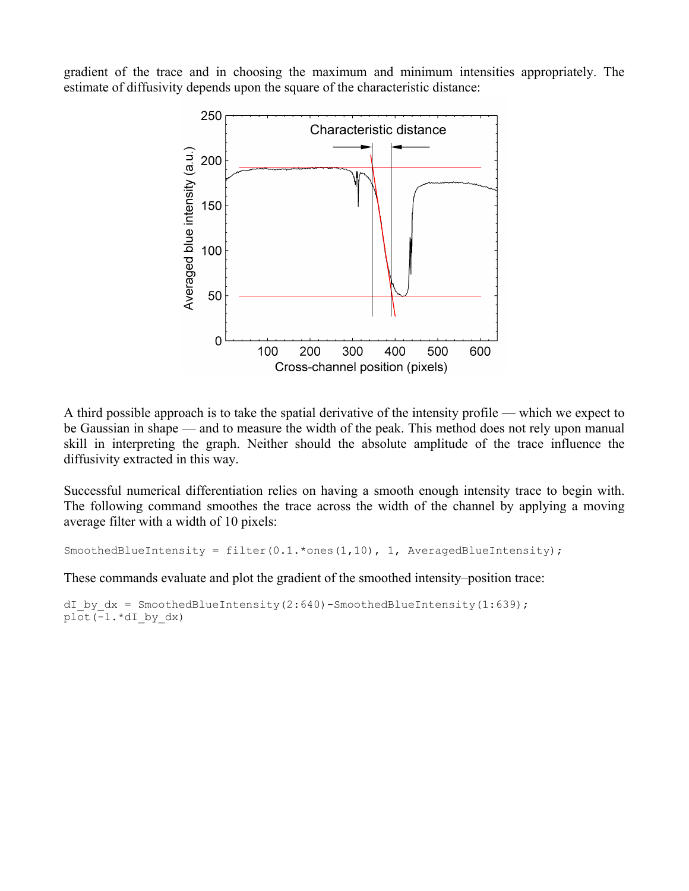gradient of the trace and in choosing the maximum and minimum intensities appropriately. The estimate of diffusivity depends upon the square of the characteristic distance:



A third possible approach is to take the spatial derivative of the intensity profile — which we expect to be Gaussian in shape — and to measure the width of the peak. This method does not rely upon manual skill in interpreting the graph. Neither should the absolute amplitude of the trace influence the diffusivity extracted in this way.

Successful numerical differentiation relies on having a smooth enough intensity trace to begin with. The following command smoothes the trace across the width of the channel by applying a moving average filter with a width of 10 pixels:

SmoothedBlueIntensity = filter( $0.1.*$ ones( $1,10$ ),  $1,$  AveragedBlueIntensity);

These commands evaluate and plot the gradient of the smoothed intensity–position trace:

dI by  $dx =$  SmoothedBlueIntensity(2:640)-SmoothedBlueIntensity(1:639); plot(-1.\*dI\_by\_dx)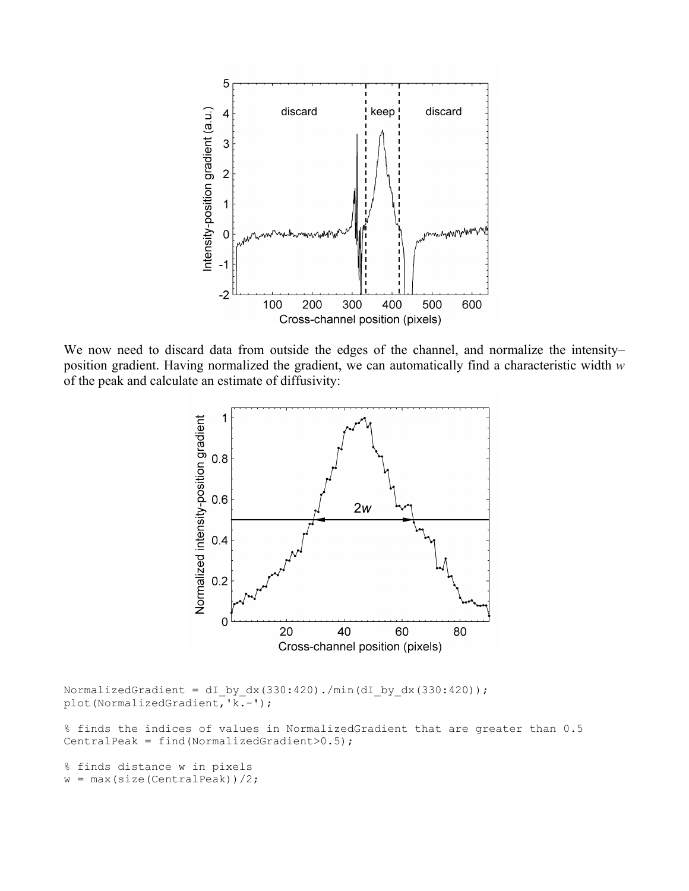

We now need to discard data from outside the edges of the channel, and normalize the intensity– position gradient. Having normalized the gradient, we can automatically find a characteristic width *w* of the peak and calculate an estimate of diffusivity:



NormalizedGradient = dI by dx(330:420)./min(dI by dx(330:420)); plot(NormalizedGradient,'k.-');

% finds the indices of values in NormalizedGradient that are greater than 0.5 CentralPeak = find(NormalizedGradient> $0.5$ );

% finds distance w in pixels  $w = max(size(CentralPeak))/2;$